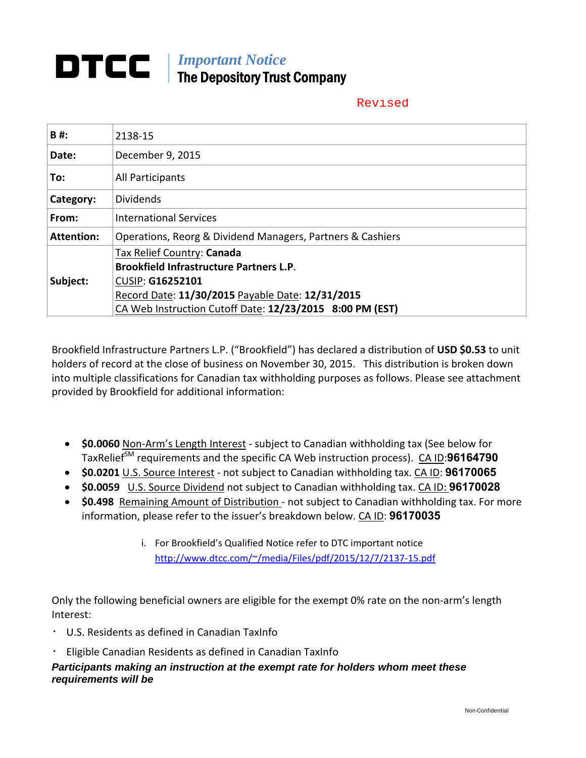### *Important Notice*  The Depository Trust Company

#### Revised

| <b>B#:</b>        | 2138-15                                                                      |  |  |  |  |  |  |  |
|-------------------|------------------------------------------------------------------------------|--|--|--|--|--|--|--|
| Date:             | December 9, 2015                                                             |  |  |  |  |  |  |  |
| To:               | All Participants                                                             |  |  |  |  |  |  |  |
| Category:         | <b>Dividends</b>                                                             |  |  |  |  |  |  |  |
| From:             | <b>International Services</b>                                                |  |  |  |  |  |  |  |
| <b>Attention:</b> | Operations, Reorg & Dividend Managers, Partners & Cashiers                   |  |  |  |  |  |  |  |
|                   | Tax Relief Country: Canada<br><b>Brookfield Infrastructure Partners L.P.</b> |  |  |  |  |  |  |  |
| Subject:          | <b>CUSIP: G16252101</b><br>Record Date: 11/30/2015 Payable Date: 12/31/2015  |  |  |  |  |  |  |  |
|                   | CA Web Instruction Cutoff Date: 12/23/2015 8:00 PM (EST)                     |  |  |  |  |  |  |  |

Brookfield Infrastructure Partners L.P. ("Brookfield") has declared a distribution of **USD \$0.53** to unit holders of record at the close of business on November 30, 2015. This distribution is broken down into multiple classifications for Canadian tax withholding purposes as follows. Please see attachment provided by Brookfield for additional information:

- **\$0.0060** Non‐Arm's Length Interest ‐ subject to Canadian withholding tax (See below for TaxRelief<sup>SM</sup> requirements and the specific CA Web instruction process). CA ID:96164790
- **\$0.0201** U.S. Source Interest ‐ not subject to Canadian withholding tax. CA ID: **96170065**
- **\$0.0059** U.S. Source Dividend not subject to Canadian withholding tax. CA ID: **96170028**
- **\$0.498** Remaining Amount of Distribution not subject to Canadian withholding tax. For more information, please refer to the issuer's breakdown below. CA ID: **96170035**
	- i. For Brookfield's Qualified Notice refer to DTC important notice http://www.dtcc.com/~/media/Files/pdf/2015/12/7/2137‐15.pdf

Only the following beneficial owners are eligible for the exempt 0% rate on the non‐arm's length Interest:

- ・ U.S. Residents as defined in Canadian TaxInfo
- Eligible Canadian Residents as defined in Canadian TaxInfo

*Participants making an instruction at the exempt rate for holders whom meet these requirements will be*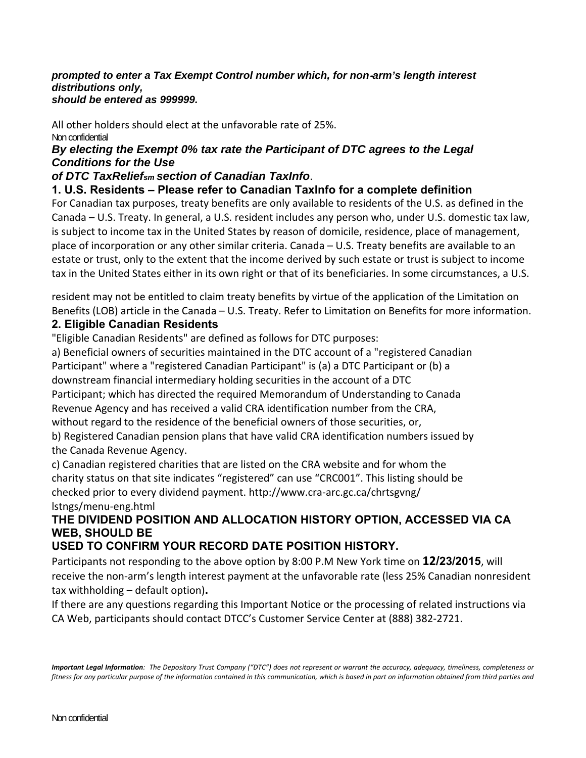#### *prompted to enter a Tax Exempt Control number which, for non*‐*arm's length interest distributions only, should be entered as 999999.*

#### All other holders should elect at the unfavorable rate of 25%. Non confidential

#### *By electing the Exempt 0% tax rate the Participant of DTC agrees to the Legal Conditions for the Use*

#### *of DTC TaxReliefsm section of Canadian TaxInfo*.

#### **1. U.S. Residents – Please refer to Canadian TaxInfo for a complete definition**

For Canadian tax purposes, treaty benefits are only available to residents of the U.S. as defined in the Canada – U.S. Treaty. In general, a U.S. resident includes any person who, under U.S. domestic tax law, is subject to income tax in the United States by reason of domicile, residence, place of management, place of incorporation or any other similar criteria. Canada – U.S. Treaty benefits are available to an estate or trust, only to the extent that the income derived by such estate or trust is subject to income tax in the United States either in its own right or that of its beneficiaries. In some circumstances, a U.S.

resident may not be entitled to claim treaty benefits by virtue of the application of the Limitation on Benefits (LOB) article in the Canada – U.S. Treaty. Refer to Limitation on Benefits for more information.

#### **2. Eligible Canadian Residents**

"Eligible Canadian Residents" are defined as follows for DTC purposes:

a) Beneficial owners of securities maintained in the DTC account of a "registered Canadian Participant" where a "registered Canadian Participant" is (a) a DTC Participant or (b) a downstream financial intermediary holding securities in the account of a DTC Participant; which has directed the required Memorandum of Understanding to Canada Revenue Agency and has received a valid CRA identification number from the CRA, without regard to the residence of the beneficial owners of those securities, or,

b) Registered Canadian pension plans that have valid CRA identification numbers issued by the Canada Revenue Agency.

c) Canadian registered charities that are listed on the CRA website and for whom the charity status on that site indicates "registered" can use "CRC001". This listing should be checked prior to every dividend payment. http://www.cra‐arc.gc.ca/chrtsgvng/ lstngs/menu‐eng.html

#### **THE DIVIDEND POSITION AND ALLOCATION HISTORY OPTION, ACCESSED VIA CA WEB, SHOULD BE**

#### **USED TO CONFIRM YOUR RECORD DATE POSITION HISTORY.**

Participants not responding to the above option by 8:00 P.M New York time on **12/23/2015**, will receive the non-arm's length interest payment at the unfavorable rate (less 25% Canadian nonresident tax withholding – default option)**.** 

If there are any questions regarding this Important Notice or the processing of related instructions via CA Web, participants should contact DTCC's Customer Service Center at (888) 382‐2721.

Important Legal Information: The Depository Trust Company ("DTC") does not represent or warrant the accuracy, adequacy, timeliness, completeness or fitness for any particular purpose of the information contained in this communication, which is based in part on information obtained from third parties and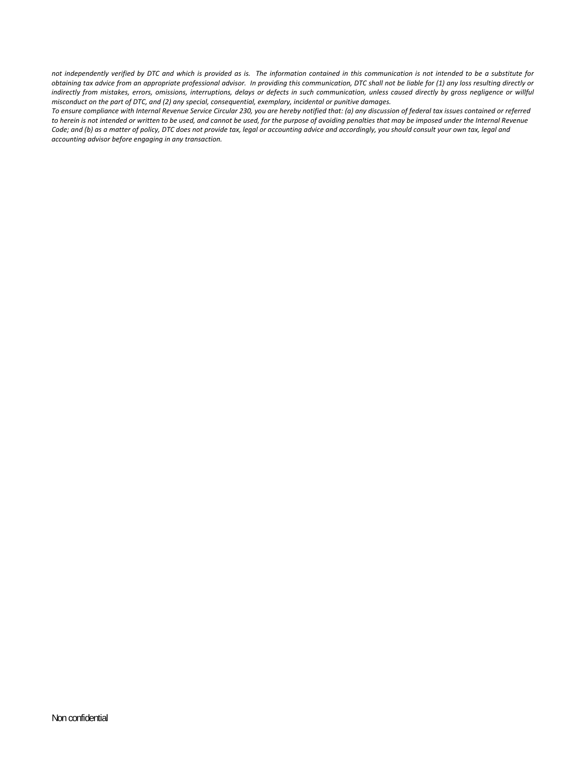not independently verified by DTC and which is provided as is. The information contained in this communication is not intended to be a substitute for obtaining tax advice from an appropriate professional advisor. In providing this communication, DTC shall not be liable for (1) any loss resulting directly or indirectly from mistakes, errors, omissions, interruptions, delays or defects in such communication, unless caused directly by gross negligence or willful *misconduct on the part of DTC, and (2) any special, consequential, exemplary, incidental or punitive damages.*

To ensure compliance with Internal Revenue Service Circular 230, you are hereby notified that: (a) any discussion of federal tax issues contained or referred to herein is not intended or written to be used, and cannot be used, for the purpose of avoiding penalties that may be imposed under the Internal Revenue Code; and (b) as a matter of policy, DTC does not provide tax, legal or accounting advice and accordingly, you should consult your own tax, legal and *accounting advisor before engaging in any transaction.*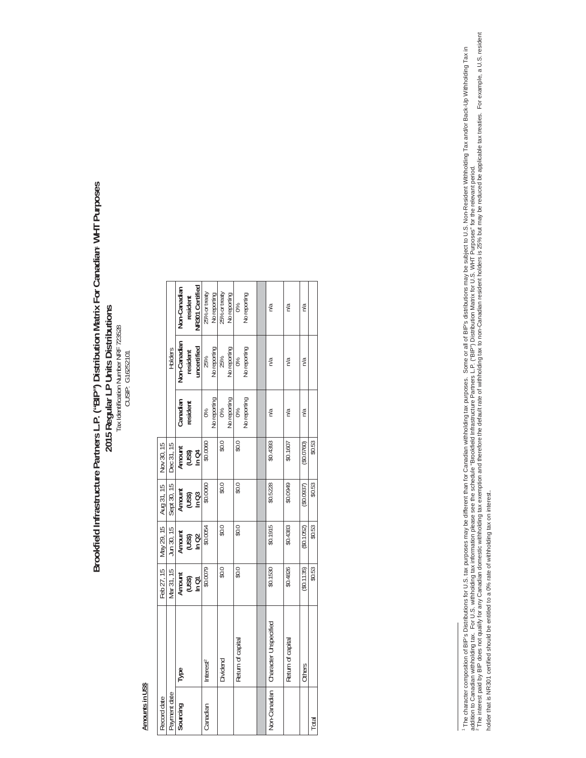# Brookfield Infrastructure Partners L.P. ("BIP") Distribution Matrix For Canadian<sup>,</sup> WHT Purposes  **Brookfield Infrastructure Partners L.P. ("BIP") Distribution Matrix For Canadian**1 **WHT Purposes**  2015 Regular LP Units Distributions<br>Tax dentification Number NRF 723528 **2015 Regular LP Units Distributions**  Tax Identification Number NRF 723528 CUSIP: G16252101

## Amounts in US\$ **Amounts in US\$**

|                         |              | Non-Canadian | resident                  | NR301 Certified | 25% or treaty         | No reporting | 25% or treaty | No reporting | 86                | No reporting | n/a                   | n/a               | n/a         |        |
|-------------------------|--------------|--------------|---------------------------|-----------------|-----------------------|--------------|---------------|--------------|-------------------|--------------|-----------------------|-------------------|-------------|--------|
|                         | Holders      | Non-Canadian | resident                  | uncertified     | 25%                   | No reporting | 25%           | No reporting | 0%                | No reporting | n/a                   | n/a               | n/a         |        |
|                         |              | Canadian     | resident                  |                 | 86                    | No reporting | 0%            | No reporting | 0%                | No reporting | n/a                   | n/a               | n/a         |        |
| Nov 30, 15              | Dec 31, 15   |              | Amount<br>(US\$)<br>In C4 |                 | \$0.0060              |              | \$0.0         |              | \$0.0             |              | \$0.4393              | \$0.1607          | (50.0760)   | \$0.53 |
| Aug 31, 15              | Sept 30, 15  |              | Amount<br>(US\$)<br>In C3 |                 | \$0.0060              |              | \$0.0         |              | \$0.0             |              | \$0.5228              | \$0.0949          | (50.0937)   | \$0.53 |
| Feb 27, 15   May 29, 15 | Jun 30, 15   |              | Amount<br>(US\$)<br>In Q2 |                 | \$0.0054              |              | \$0.0         |              | 0.03              |              | \$0.1915              | \$0.4383          | (S0.1052)   | \$0.53 |
|                         | Mar 31, 15   | Amount       | $(US3)$<br>In Q1          |                 | \$0.0079              |              | 0.03          |              | 0.03              |              | \$0.1530              | \$0.4826          | ( \$0.1135) | \$0.53 |
|                         |              | <b>I</b> ype |                           |                 | Interest <sup>2</sup> |              | Dividend      |              | Return of capital |              | Character Unspecified | Return of capital | Others      |        |
| Record date             | Payment date | Sourcing     |                           |                 | Canadian              |              |               |              |                   |              | Non-Canadian          |                   |             | Total  |

' The character composition of BIP's Distributions for U.S. tax purposes may be different fhan for Canadian withholding tax purposes. Some or all of BIP's distributions may be subject to U.S. Non-Resident Withholding Tax addition to Canadian withholding tax. For U.S. withholding tax information please see the schedule "Brookfield Infrastructure Partners L.P. ("BIP") Distribution Matrix for U.S. WHT Purposes" for the relevant period.<br>\* The The character composition of BIP's Distributions for U.S. tax purposes may be different than for Canadian withholding tax purposes. Some or all of BIP's distributions may be subject to U.S. Non-Resident Withholding Tax and holder that is NR301 certified should be entitled to a 0% rate of withholding tax on interest.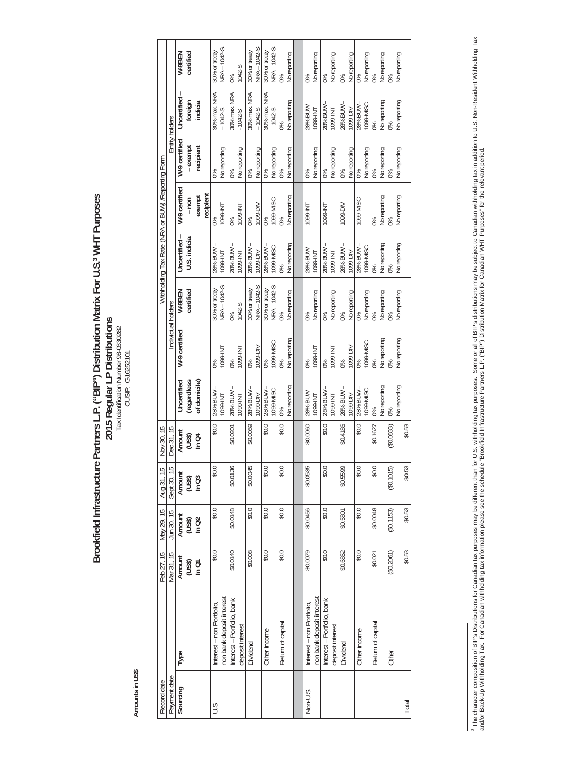Brookfield Infrastructure Partners L.P. ("BIP") Distribution Matrix For U.S.<sup>3</sup> WHT Purposes<br>2015 Regular LP Distributions<br>Tax Identication Number 98-0330282 **Brookfield Infrastructure Partners L.P. ("BIP") Distribution Matrix For U.S.3 WHT Purposes 2015 Regular LP Distributions**  Tax Identification Number 98-0330282 CUSIP: G16252101

Amounts in US\$ **Amounts in US\$** 

| Record date  |                            | Feb 27, 15                | May 29, 15                | Aug 31, 15                | Nov 30, 15 |              |               |                    | Withholding Tax Rate (NRA or BUW) / Reporting Form |                |                    |                    |                                                |
|--------------|----------------------------|---------------------------|---------------------------|---------------------------|------------|--------------|---------------|--------------------|----------------------------------------------------|----------------|--------------------|--------------------|------------------------------------------------|
| Payment date |                            | Mar 31, 15                | Jun 30, 15                | Sept 30, 15               | Dec 31, 15 |              |               | Individual holders |                                                    |                |                    | Entity holders     |                                                |
| Sourcing     | Type                       |                           |                           |                           | Amount     | Uncertified  | W-9 certified | W-8BEN             | Uncertified-                                       | W-9 certified  | W-9 certified      | Uncertified-       | W-8BEN                                         |
|              |                            | Amount<br>(US\$)<br>In Q1 | Amount<br>(US\$)<br>In Q2 | Amount<br>(US\$)<br>In Q3 | (USS)      | (regardless  |               | certified          | U.S. indicia                                       | $-$ non        | - exempt           | foreign<br>indicia | certified                                      |
|              |                            |                           |                           |                           | In Q4      | of domicile) |               |                    |                                                    | exempt         | recipient          |                    |                                                |
|              |                            |                           |                           |                           |            |              |               |                    |                                                    | recipient      |                    |                    |                                                |
| S            | Interest - non Portfolio,  | \$0.0                     | \$0.0                     | \$0.0                     | \$0.0      | 28% BUW-     | 0%            | 30% or treaty      | 28% BUW                                            | 0%             | 88                 | 30% max. NRA       | 30% or treaty                                  |
|              | non bank deposit interest  |                           |                           |                           |            | TMI-6601     | TMI-6601      | NRA - 1042-S       | TMI-6601                                           | TMI-6601       | No reporting       | $-1042 - S$        | <b>NRA-1042-S</b>                              |
|              | Interest – Portfolio, bank | \$0.0140                  | \$0.0148                  | \$0.0136                  | \$0.0201   | 28% BUW      | 0%            | 0%                 | 28% BUW                                            | 0%             | 0%                 | 30% max. NRA       | 0%                                             |
|              | deposit interest           |                           |                           |                           |            | TMI-660L     | TMI-6601      | 1042-S             | TMI-6601                                           | TMI-6601       | No reporting       | $-1042-5$          | 1042-S                                         |
|              | Dividend                   | \$0.008                   | \$0.0                     | \$0.0045                  | \$0.0059   | 28% BUW-     | 0%            | 30% or treaty      | 28% BUW                                            | $\frac{6}{20}$ | $\frac{8}{6}$      | 30% max. NRA       |                                                |
|              |                            |                           |                           |                           |            | 1099-DIV     | 1099-DIV      | NRA - 1042-S       | 1099-DIV                                           | 1099-DIV       | No reporting<br>0% | $-1042-5$          | 30% or treaty<br>NRA – 1042-S<br>30% or treaty |
|              | Other income               | \$0.0                     | \$0.0                     | \$0.0                     | \$0.0      | 28% BUW-     | 0%            | 30% or treaty      |                                                    | 0%             |                    | 30% max. NRA       |                                                |
|              |                            |                           |                           |                           |            | 1099-MISC    | 1099-MISC     | NRA - 1042-S       | 1099-MISC                                          | 1099-MISC      | No reporting       | $-1042 - S$        | NRA - 1042-S                                   |
|              | Return of capital          | \$0.0                     | \$0.0                     | \$0.0                     | \$0.0      | 0%           | 0%            | 0%                 | 0%                                                 | $0\%$          | 0%                 |                    | $0\%$                                          |
|              |                            |                           |                           |                           |            | No reporting | No reporting  | No reporting       | No reporting                                       | No reporting   | No reporting       | No reporting       | No reporting                                   |
|              |                            |                           |                           |                           |            |              |               |                    |                                                    |                |                    |                    |                                                |
| Non-U.S.     | Interest - non Portfolio,  | \$0.0079                  | \$0.0456                  | \$0.0535                  | \$0.0060   | 28% BUW      | 0%            | 0%                 | 28% BUW                                            | TMI-6601       | 0%                 | 28% BUW            | 0%                                             |
|              | non bank deposit interest  |                           |                           |                           |            | TMI-6601     | TMI-6601      | No reporting       | TMI-6601                                           |                | No reporting       | TMI-6601           | No reporting                                   |
|              | Interest - Portfolio, bank | \$0.0                     | \$0.0                     | \$0.0                     | \$0.0      | 28% BUW-     | $\frac{8}{6}$ | $0\%$              | 28% BUW                                            | TMI-6601       | 0%                 | 28% BUW            | $0\%$                                          |
|              | deposit interest           |                           |                           |                           |            | TMI-6601     | TMI-6601      | No reporting       | TMI-6601                                           |                | No reporting       | TMI-6601           | No reporting                                   |
|              | Dividend                   | \$0.6852                  | \$0.5801                  | \$0.5599                  | \$0.4186   | - MNB %82    | $0\%$         | $0\%$              | 28% BUW-                                           | 1099-DIV       | 0%                 | $28\%$ BUW $-$     | $0\%$                                          |
|              |                            |                           |                           |                           |            | 1099-DIV     | 1099-DIV      | No reporting       | 1099-DIV                                           |                | No reporting       | 1099-DIV           | No reporting                                   |
|              | Other income               | \$0.0                     | \$0.0                     | \$0.0                     | \$0.0      | 28% BUW-     | $0\%$         | 0%                 | 28% BUW                                            | 1099-MISC      | 0%                 | - MNB %87          | 0%                                             |
|              |                            |                           |                           |                           |            | 1099-MISC    | 1099-MISC     | No reporting       | 1099-MISC                                          |                | No reporting       | 1099-MISC          | No reporting                                   |
|              | Return of capital          | \$0.021                   | \$0.0048                  | 0.03                      | \$0.1627   | 0%           | 0%            | 0%                 | 0%                                                 | $0\%$          | $0\%$              | $0\%$              | 0%                                             |
|              |                            |                           |                           |                           |            | No reporting | No reporting  | No reporting       | No reporting<br>0%                                 | No reporting   | No reporting       | No reporting       | No reporting                                   |
|              | Other                      | (\$0.2061)                | (\$0.1153)                | (\$0.1015)                | (\$0.0833) | 0%           | 0%            | 0%                 |                                                    | 0%             | 0%                 |                    | 0%                                             |
|              |                            |                           |                           |                           |            | Vo reporting | No reporting  | No reporting       | No reporting                                       | No reporting   | No reporting       | No reporting       | No reporting                                   |
| Total        |                            | \$0.53                    | \$0.53                    | \$0.53                    | \$0.53     |              |               |                    |                                                    |                |                    |                    |                                                |
|              |                            |                           |                           |                           |            |              |               |                    |                                                    |                |                    |                    |                                                |

<sup>&</sup>lt;sup>3</sup> The character composition of BIP's Distributions for Canadian tax purposes may be different than for U.S. withholding tax purposes. Some or all of BIP's distributions may be subject to Canadian withholding tax. Non-Res <sup>3</sup> The character composition of BIP's Distributions for Canadian tax purposes may be different than for U.S. withholding tax purposes. Some or all of BIP's distributions may be subject to Canadian withholding rax in addit and/or Back-Up Withholding Tax. For Canadian withholding tax information please see the schedule "Brookfield Infrastructure Partners L.P. ("BIP") Distribution Matrix for Canadian WHT Purposes" for the relevant period.